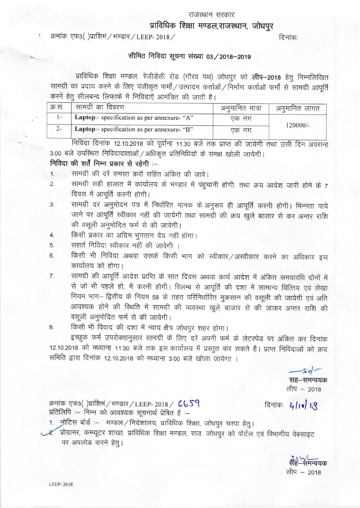### प्राविधिक शिक्षा मण्डल,राजस्थान, जोधपुर

#### क्रमांक एफ3()प्राशिमं / भण्डार / LEEP-2018 /  $\blacksquare$

#### निविदा सूचना संख्या 03 / 2018–2019

"‖ …

प्राविधिक शिक्षा मण्डल, रेजीडेंसी रोड (गौरव पथ) जोधपुर को लीप-2018 हेतु निम्नलिखित सामग्री का प्रदाय करने के लिए पंजीकृत फर्मों / उत्पादन कर्ताओं / निर्माण कर्ताओं फर्मों से सामग्री आपूर्ति करने हेतु सीलबन्द लिफाफे में निविदाएें आमंत्रित की जाती है।

| क्र.स. | सामग्री का विवरण                            | अनुमानित मात्रा | अनुमानित लागत |  |
|--------|---------------------------------------------|-----------------|---------------|--|
|        | Laptop:- specification as per annexure- "A" | एक नग           | $120000/-$    |  |
|        | Laptop:- specification as per annexure- "B" | एक नग           |               |  |

 $3.00$  बजे उपस्थित निविदादाताओं / अधिकृत प्रतिनिधियों के समक्ष खोली जायेंगी। निविदा दिनांक 12.10.2018 को पूर्वान्ह 11.30 बजे तक प्राप्त की जायेगी तथा उसी दिन अपरान्ह

## निविदा की शर्तें निम्न प्रकार से रहेगी :--

- 1. सामग्री की दरें समस्त करों सहित अंकित की जावे।
- 2. सामग्री सही हालात में कार्यालय के भण्डार में पंहुचानी होगी, तथा क्रय<br>विवय में अपनी काफी लेफी। <u>ा</u> जारी होने के 7 दिवस में आपूर्ति करनी होगी।
- 3 h騰 <sup>¬</sup> |― W唖 R諭 R金 जाने पर आपूर्ति स्वीकार नहीं की जायेगी तथा सामग्री की क्रय खुले बाजार से कर अन्तर राशि की वसूली अनुमोदित फर्म से की जावेगी।
- 4. किसी प्रकार का अग्रिम भुगतान देय नहीं होगा।
- 5. सशर्त निविदा स्वीकार नहीं की जावेगी ।
- 6. किसी भी निविदा अथवा उसके किसी भाग को स्वीकार / अस्वीकार करने का अधिकार इस कार्यालय को होगा।
- सामग्री की आपूर्ति आदेश प्राप्ति के सात दिवस अथवा कार्य आदेश में अंकित समयावधि दोनों में  $7.$ से जो भी पहले हो, में करनी होगी। विलम्ब से आपूर्ति की दशा में सामान्य वित्तिय एवं लेखा नियम भाग- द्वितीय के नियम 58 के तहत परिनिर्धारित नुकसान की वसूली की जायेगी एवं अति आवश्यक होने की स्थिति में सामग्री की व्यवस्था खुले बाजार से की जाकर अन्तर राशि की वसूली अनुमोदित फर्म से की जायेगी।
- 8. किसी भी विवाद की दशा में न्याय क्षैत्र जोधपुर शहर होगा

… 12102" 8箭 1■30諭 waさ 1耶 इच्छुक फर्म उपरोक्तानुसार सामग्री के लिए दरें अपनी फर्म के लेटरपेड पर अंकित कर दिनांक समिति द्वारा दिनांक 12.10.2018 को मध्यान्ह 3:00 बजे खोला जायेगा ।

 $Sd'$ सह–समन्वयक लीप – 2018

"‖ n:\_師 )31-w■ 1軒 : क्रमांक एफ3()प्राशिमं / भण्डार / LEEP-2018 /  $659$  दिनांकः  $4|18|18$ 

- 
- ् .<br>ग्रेक शिक्षा, जोधपुर चस्पा हेतु।<br>ग्डल, राज. जोधपुर को पोर्टल एवं ।, प्राावांधक शिक्षा मण्डल, राज. जाधपुर का पाटल एवं विभागाय वेबसाइ<br>|<br>|